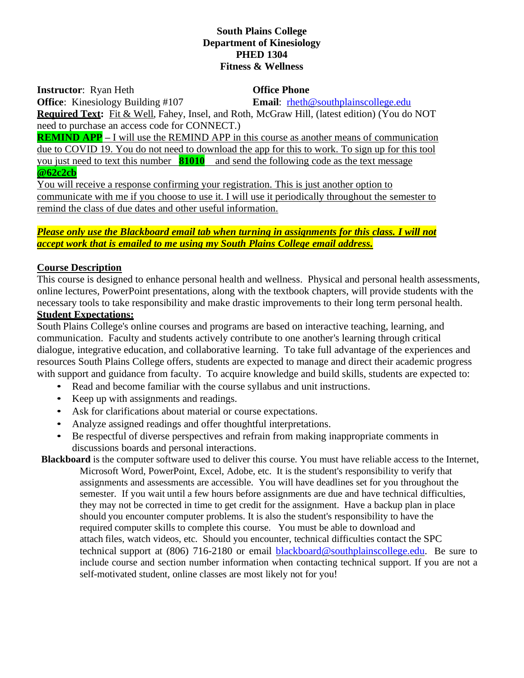#### **South Plains College Department of Kinesiology PHED 1304 Fitness & Wellness**

**Instructor**: Ryan Heth **Office Phone** 

**Office**: Kinesiology Building #107 **Email**: rheth@southplainscollege.edu

**Required Text:** Fit & Well, Fahey, Insel, and Roth, McGraw Hill, (latest edition) (You do NOT need to purchase an access code for CONNECT.)

**REMIND APP** – I will use the REMIND APP in this course as another means of communication due to COVID 19. You do not need to download the app for this to work. To sign up for this tool you just need to text this number **81010** and send the following code as the text message **@62c2cb**

You will receive a response confirming your registration. This is just another option to communicate with me if you choose to use it. I will use it periodically throughout the semester to remind the class of due dates and other useful information.

## *Please only use the Blackboard email tab when turning in assignments for this class. I will not accept work that is emailed to me using my South Plains College email address.*

## **Course Description**

This course is designed to enhance personal health and wellness. Physical and personal health assessments, online lectures, PowerPoint presentations, along with the textbook chapters, will provide students with the necessary tools to take responsibility and make drastic improvements to their long term personal health.

# **Student Expectations:**

South Plains College's online courses and programs are based on interactive teaching, learning, and communication. Faculty and students actively contribute to one another's learning through critical dialogue, integrative education, and collaborative learning. To take full advantage of the experiences and resources South Plains College offers, students are expected to manage and direct their academic progress with support and guidance from faculty. To acquire knowledge and build skills, students are expected to:

- Read and become familiar with the course syllabus and unit instructions.
- Keep up with assignments and readings.
- Ask for clarifications about material or course expectations.
- Analyze assigned readings and offer thoughtful interpretations.
- Be respectful of diverse perspectives and refrain from making inappropriate comments in discussions boards and personal interactions.

**Blackboard** is the computer software used to deliver this course. You must have reliable access to the Internet, Microsoft Word, PowerPoint, Excel, Adobe, etc. It is the student's responsibility to verify that assignments and assessments are accessible. You will have deadlines set for you throughout the semester. If you wait until a few hours before assignments are due and have technical difficulties, they may not be corrected in time to get credit for the assignment. Have a backup plan in place should you encounter computer problems. It is also the student's responsibility to have the required computer skills to complete this course. You must be able to download and attach files, watch videos, etc. Should you encounter, technical difficulties contact the SPC technical support at (806) 716-2180 or email [blackboard@southplainscollege.edu.](mailto:blackboard@southplainscollege.edu) Be sure to include course and section number information when contacting technical support. If you are not a self-motivated student, online classes are most likely not for you!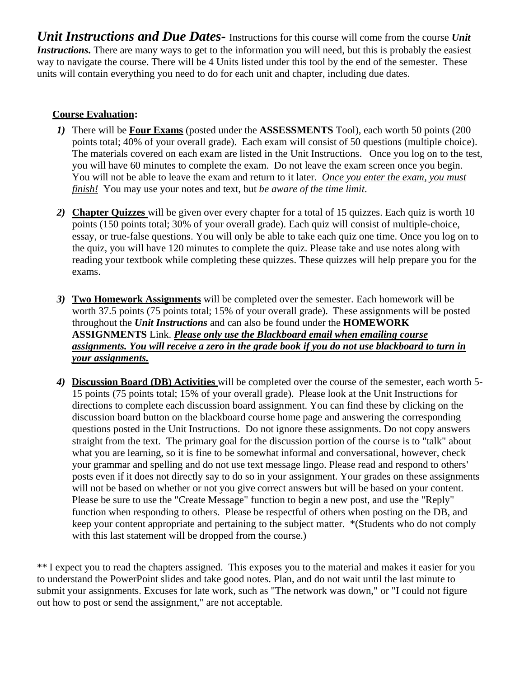*Unit Instructions and Due Dates-* Instructions for this course will come from the course *Unit Instructions*. There are many ways to get to the information you will need, but this is probably the easiest way to navigate the course. There will be 4 Units listed under this tool by the end of the semester. These units will contain everything you need to do for each unit and chapter, including due dates.

# **Course Evaluation:**

- *1)* There will be **Four Exams** (posted under the **ASSESSMENTS** Tool), each worth 50 points (200 points total; 40% of your overall grade). Each exam will consist of 50 questions (multiple choice). The materials covered on each exam are listed in the Unit Instructions. Once you log on to the test, you will have 60 minutes to complete the exam. Do not leave the exam screen once you begin. You will not be able to leave the exam and return to it later. *Once you enter the exam, you must finish!* You may use your notes and text, but *be aware of the time limit*.
- *2)* **Chapter Quizzes** will be given over every chapter for a total of 15 quizzes. Each quiz is worth 10 points (150 points total; 30% of your overall grade). Each quiz will consist of multiple-choice, essay, or true-false questions. You will only be able to take each quiz one time. Once you log on to the quiz, you will have 120 minutes to complete the quiz. Please take and use notes along with reading your textbook while completing these quizzes. These quizzes will help prepare you for the exams.
- *3)* **Two Homework Assignments** will be completed over the semester. Each homework will be worth 37.5 points (75 points total; 15% of your overall grade). These assignments will be posted throughout the *Unit Instructions* and can also be found under the **HOMEWORK ASSIGNMENTS** Link. *Please only use the Blackboard email when emailing course assignments. You will receive a zero in the grade book if you do not use blackboard to turn in your assignments.*
- *4)* **Discussion Board (DB) Activities** will be completed over the course of the semester, each worth 5- 15 points (75 points total; 15% of your overall grade). Please look at the Unit Instructions for directions to complete each discussion board assignment. You can find these by clicking on the discussion board button on the blackboard course home page and answering the corresponding questions posted in the Unit Instructions. Do not ignore these assignments. Do not copy answers straight from the text. The primary goal for the discussion portion of the course is to "talk" about what you are learning, so it is fine to be somewhat informal and conversational, however, check your grammar and spelling and do not use text message lingo. Please read and respond to others' posts even if it does not directly say to do so in your assignment. Your grades on these assignments will not be based on whether or not you give correct answers but will be based on your content. Please be sure to use the "Create Message" function to begin a new post, and use the "Reply" function when responding to others. Please be respectful of others when posting on the DB, and keep your content appropriate and pertaining to the subject matter. \*(Students who do not comply with this last statement will be dropped from the course.)

\*\* I expect you to read the chapters assigned. This exposes you to the material and makes it easier for you to understand the PowerPoint slides and take good notes. Plan, and do not wait until the last minute to submit your assignments. Excuses for late work, such as "The network was down," or "I could not figure out how to post or send the assignment," are not acceptable.